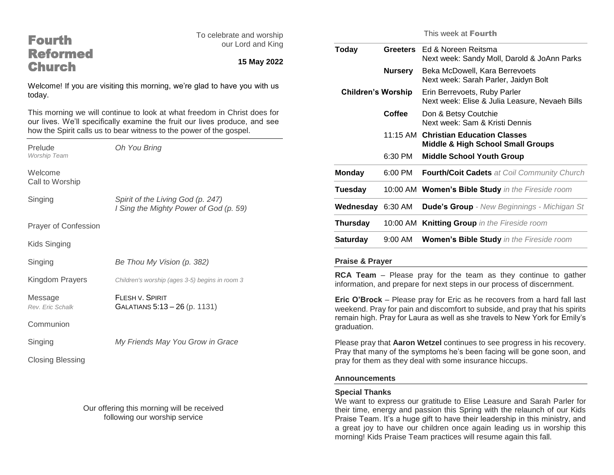| <b>Fourth</b>                                                                       |                                                                                                                                                        | To celebrate and worship |                                                         |                 | Τ                   |
|-------------------------------------------------------------------------------------|--------------------------------------------------------------------------------------------------------------------------------------------------------|--------------------------|---------------------------------------------------------|-----------------|---------------------|
| <b>Reformed</b>                                                                     |                                                                                                                                                        | our Lord and King        | <b>Today</b>                                            | <b>Greeters</b> | E)                  |
| <b>Church</b>                                                                       |                                                                                                                                                        | 15 May 2022              |                                                         |                 | N                   |
|                                                                                     |                                                                                                                                                        |                          |                                                         | <b>Nursery</b>  | B<br>N              |
| Welcome! If you are visiting this morning, we're glad to have you with us<br>today. |                                                                                                                                                        |                          | <b>Children's Worship</b>                               |                 | E <sub>1</sub><br>N |
|                                                                                     | This morning we will continue to look at what freedom in Christ does for<br>our lives. We'll specifically examine the fruit our lives produce, and see |                          |                                                         | Coffee          | D<br>N              |
| Prelude                                                                             | how the Spirit calls us to bear witness to the power of the gospel.<br>Oh You Bring                                                                    |                          |                                                         | 11:15 AM C      | М                   |
| Worship Team                                                                        |                                                                                                                                                        |                          |                                                         | 6:30 PM         | M                   |
| Welcome<br>Call to Worship                                                          |                                                                                                                                                        |                          | <b>Monday</b>                                           | 6:00 PM         | F)                  |
|                                                                                     |                                                                                                                                                        |                          | <b>Tuesday</b>                                          | 10:00 AM W      |                     |
| Singing                                                                             | Spirit of the Living God (p. 247)<br>I Sing the Mighty Power of God (p. 59)                                                                            |                          | Wednesday 6:30 AM                                       |                 | D                   |
| Prayer of Confession                                                                |                                                                                                                                                        |                          | Thursday                                                | 10:00 AM K      |                     |
| Kids Singing                                                                        |                                                                                                                                                        |                          | <b>Saturday</b>                                         | 9:00 AM         | W                   |
| Singing                                                                             | Be Thou My Vision (p. 382)                                                                                                                             |                          | <b>Praise &amp; Prayer</b>                              |                 |                     |
| Kingdom Prayers                                                                     | Children's worship (ages 3-5) begins in room 3                                                                                                         |                          | RCA Team - Please pra<br>information, and prepare fo    |                 |                     |
| Message<br>Rev. Eric Schalk                                                         | <b>FLESH V. SPIRIT</b><br>GALATIANS 5:13 - 26 (p. 1131)                                                                                                |                          | Eric O'Brock - Please pra<br>weekend. Pray for pain and |                 |                     |
| Communion                                                                           |                                                                                                                                                        |                          | remain high. Pray for Laura<br>graduation.              |                 |                     |
| Singing                                                                             | My Friends May You Grow in Grace                                                                                                                       |                          | Please pray that Aaron We<br>Pray that many of the symp |                 |                     |
| <b>Closing Blessing</b>                                                             |                                                                                                                                                        |                          | pray for them as they deal v                            |                 |                     |
|                                                                                     |                                                                                                                                                        |                          |                                                         |                 |                     |

Our offering this morning will be received following our worship service

This week at Fourth

| Today                     | Greeters  | Ed & Noreen Reitsma<br>Next week: Sandy Moll, Darold & JoAnn Parks                   |
|---------------------------|-----------|--------------------------------------------------------------------------------------|
|                           | Nursery   | Beka McDowell, Kara Berrevoets<br>Next week: Sarah Parler, Jaidyn Bolt               |
| <b>Children's Worship</b> |           | Erin Berrevoets, Ruby Parler<br>Next week: Elise & Julia Leasure, Nevaeh Bills       |
|                           | Coffee    | Don & Betsy Coutchie<br>Next week: Sam & Kristi Dennis                               |
|                           |           | 11:15 AM Christian Education Classes<br><b>Middle &amp; High School Small Groups</b> |
|                           | 6:30 PM   | <b>Middle School Youth Group</b>                                                     |
| <b>Monday</b>             | 6:00 PM   | <b>Fourth/Coit Cadets</b> at Coil Community Church                                   |
| Tuesday                   |           | 10:00 AM Women's Bible Study in the Fireside room                                    |
| Wednesday                 | 6:30 AM   | <b>Dude's Group</b> - New Beginnings - Michigan St                                   |
| Thursday                  |           | 10:00 AM Knitting Group in the Fireside room                                         |
| Saturday                  | $9:00$ AM | <b>Women's Bible Study</b> in the Fireside room                                      |

ay for the team as they continue to gather or next steps in our process of discernment.

ay for Eric as he recovers from a hard fall last discomfort to subside, and pray that his spirits as well as she travels to New York for Emily's

etzel continues to see progress in his recovery. ptoms he's been facing will be gone soon, and with some insurance hiccups.

#### **Announcements**

# **Special Thanks**

We want to express our gratitude to Elise Leasure and Sarah Parler for their time, energy and passion this Spring with the relaunch of our Kids Praise Team. It's a huge gift to have their leadership in this ministry, and a great joy to have our children once again leading us in worship this morning! Kids Praise Team practices will resume again this fall.